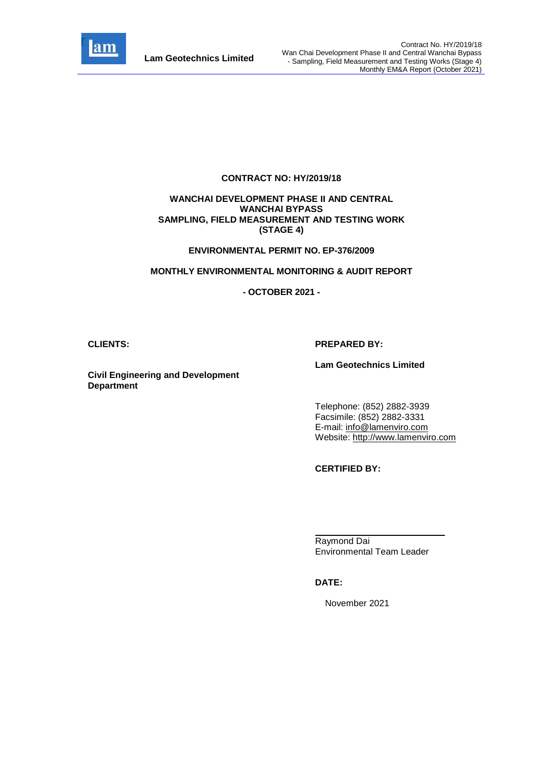

#### **CONTRACT NO: HY/2019/18**

#### **WANCHAI DEVELOPMENT PHASE II AND CENTRAL WANCHAI BYPASS SAMPLING, FIELD MEASUREMENT AND TESTING WORK (STAGE 4)**

#### **ENVIRONMENTAL PERMIT NO. EP-376/2009**

#### **MONTHLY ENVIRONMENTAL MONITORING & AUDIT REPORT**

#### **- OCTOBER 2021 -**

#### **CLIENTS: PREPARED BY:**

#### **Lam Geotechnics Limited**

**Civil Engineering and Development Department**

> Telephone: (852) 2882-3939 Facsimile: (852) 2882-3331 E-mail: [info@lamenviro.com](mailto:info@lamenviro.com) Website: [http://www.lamenviro.com](http://www.lamenviro.com/)

**CERTIFIED BY:**

Raymond Dai Environmental Team Leader

#### **DATE:**

November 2021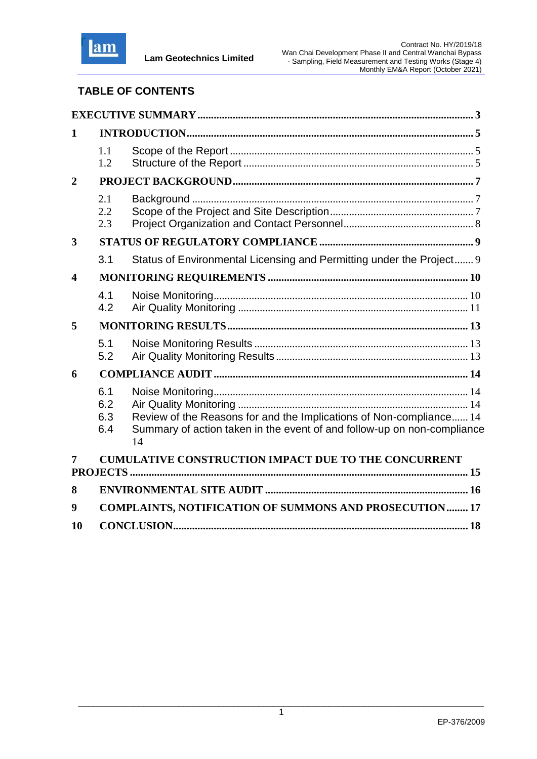

# **TABLE OF CONTENTS**

| 1                       |                          |                                                                                                                                                      |
|-------------------------|--------------------------|------------------------------------------------------------------------------------------------------------------------------------------------------|
|                         | 1.1<br>1.2               |                                                                                                                                                      |
| $\overline{2}$          |                          |                                                                                                                                                      |
|                         | 2.1<br>2.2<br>2.3        |                                                                                                                                                      |
| 3                       |                          |                                                                                                                                                      |
|                         | 3.1                      | Status of Environmental Licensing and Permitting under the Project 9                                                                                 |
| $\overline{\mathbf{4}}$ |                          |                                                                                                                                                      |
|                         | 4.1<br>4.2               |                                                                                                                                                      |
| 5                       |                          |                                                                                                                                                      |
|                         | 5.1<br>5.2               |                                                                                                                                                      |
| 6                       |                          |                                                                                                                                                      |
|                         | 6.1<br>6.2<br>6.3<br>6.4 | Review of the Reasons for and the Implications of Non-compliance 14<br>Summary of action taken in the event of and follow-up on non-compliance<br>14 |
|                         |                          | <b>CUMULATIVE CONSTRUCTION IMPACT DUE TO THE CONCURRENT</b>                                                                                          |
|                         |                          |                                                                                                                                                      |
| 8                       |                          |                                                                                                                                                      |
| 9                       |                          | <b>COMPLAINTS, NOTIFICATION OF SUMMONS AND PROSECUTION 17</b>                                                                                        |
| 10                      |                          |                                                                                                                                                      |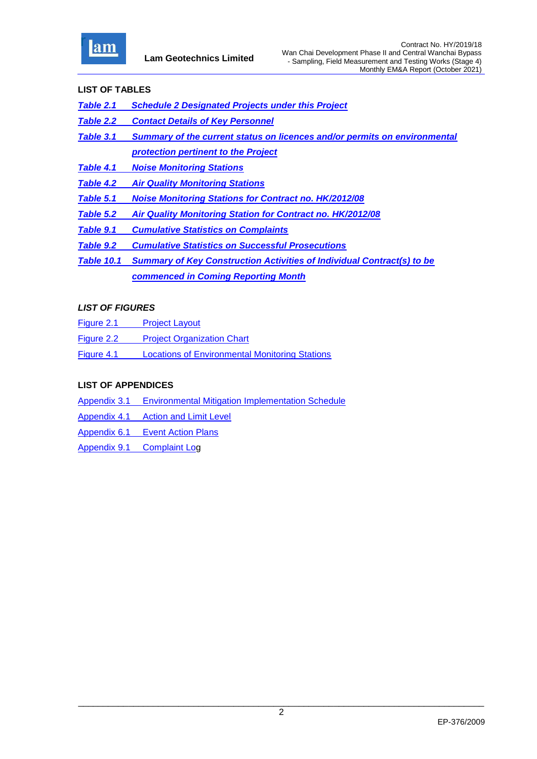

### **LIST OF TABLES**

- *[Table 2.1 Schedule 2 Designated Projects under this Project](#page-7-3)*
- *Table 2.2 [Contact Details of Key Personnel](#page-8-1)*
- *Table 3.1 [Summary of the current status on licences and/or permits on environmental](#page-9-2)  [protection pertinent to the Project](#page-9-2)*
- *Table 4.1 [Noise Monitoring Stations](#page-10-2)*
- *Table 4.2 [Air Quality Monitoring Stations](#page-11-1)*
- *Table 5.1 [Noise Monitoring Stations for Contract no. HK/2012/08](#page-13-3)*
- *[Table 5.2 Air Quality Monitoring Station for Contract no. HK/2012/08](#page-13-4)*
- *Table 9.1 [Cumulative Statistics on Complaints](#page-17-1)*
- *Table 9.2 [Cumulative Statistics on Successful Prosecutions](#page-17-2)*
- *Table 10.1 Summary of Key Construction Activities of Individual Contract(s) to be commenced in Coming Reporting Month*

### *LIST OF FIGURES*

- Figure 2.1 [Project Layout](file:///C:/Users/porsia/Desktop/Attachment/Fig2.1%20Project%20Layout.pdf)
- Figure 2.2 [Project Organization Chart](file:///C:/Users/porsia/Desktop/Attachment/Fig2.2%20Project%20Organization%20Chart.pdf)
- Figure 4.1 [Locations of Environmental Monitoring Stations](file:///C:/Users/porsia/Desktop/Attachment/Fig4.1%20Locations%20of%20Monitoring%20Stations.pdf)

### **LIST OF APPENDICES**

- Appendix 3.1 [Environmental Mitigation Implementation Schedule](file:///C:/Users/porsia/Desktop/Attachment/App3.1_Environmental%20Mitigation%20Implementation%20Schedule.pdf)
- Appendix 4.1 [Action and Limit Level](file:///C:/Users/porsia/Desktop/Attachment/App4.1_Action%20and%20Limit%20Level.pdf)
- Appendix 6.1 [Event Action Plans](file:///C:/Users/porsia/Desktop/Attachment/App6.1_Event%20and%20Action%20Plan.pdf)
- Appendix 9.1 [Complaint Log](file:///C:/Users/porsia/Desktop/Attachment/App9.1_Complaint%20Log.pdf)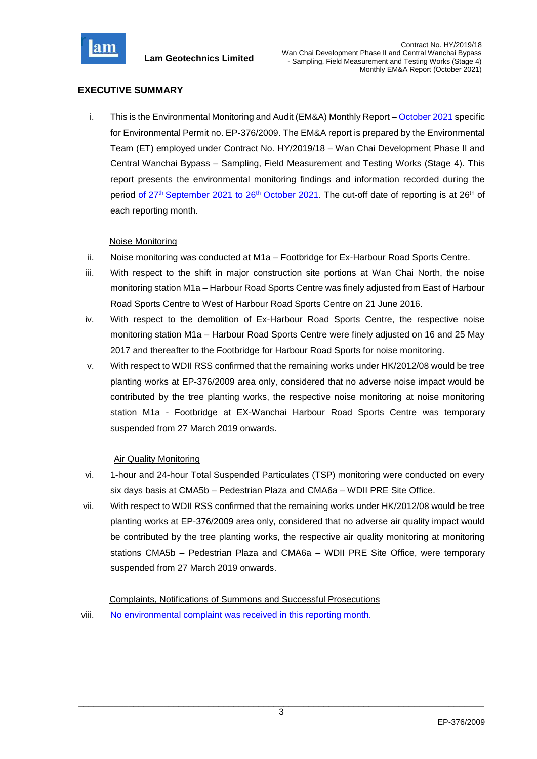

### <span id="page-3-0"></span>**EXECUTIVE SUMMARY**

i. This is the Environmental Monitoring and Audit (EM&A) Monthly Report – October 2021 specific for Environmental Permit no. EP-376/2009. The EM&A report is prepared by the Environmental Team (ET) employed under Contract No. HY/2019/18 – Wan Chai Development Phase II and Central Wanchai Bypass – Sampling, Field Measurement and Testing Works (Stage 4). This report presents the environmental monitoring findings and information recorded during the period of 27<sup>th</sup> September 2021 to 26<sup>th</sup> October 2021. The cut-off date of reporting is at 26<sup>th</sup> of each reporting month.

### Noise Monitoring

- ii. Noise monitoring was conducted at M1a Footbridge for Ex-Harbour Road Sports Centre.
- iii. With respect to the shift in major construction site portions at Wan Chai North, the noise monitoring station M1a – Harbour Road Sports Centre was finely adjusted from East of Harbour Road Sports Centre to West of Harbour Road Sports Centre on 21 June 2016.
- iv. With respect to the demolition of Ex-Harbour Road Sports Centre, the respective noise monitoring station M1a – Harbour Road Sports Centre were finely adjusted on 16 and 25 May 2017 and thereafter to the Footbridge for Harbour Road Sports for noise monitoring.
- v. With respect to WDII RSS confirmed that the remaining works under HK/2012/08 would be tree planting works at EP-376/2009 area only, considered that no adverse noise impact would be contributed by the tree planting works, the respective noise monitoring at noise monitoring station M1a - Footbridge at EX-Wanchai Harbour Road Sports Centre was temporary suspended from 27 March 2019 onwards.

#### Air Quality Monitoring

- vi. 1-hour and 24-hour Total Suspended Particulates (TSP) monitoring were conducted on every six days basis at CMA5b – Pedestrian Plaza and CMA6a – WDII PRE Site Office.
- vii. With respect to WDII RSS confirmed that the remaining works under HK/2012/08 would be tree planting works at EP-376/2009 area only, considered that no adverse air quality impact would be contributed by the tree planting works, the respective air quality monitoring at monitoring stations CMA5b – Pedestrian Plaza and CMA6a – WDII PRE Site Office, were temporary suspended from 27 March 2019 onwards.

Complaints, Notifications of Summons and Successful Prosecutions

viii. No environmental complaint was received in this reporting month.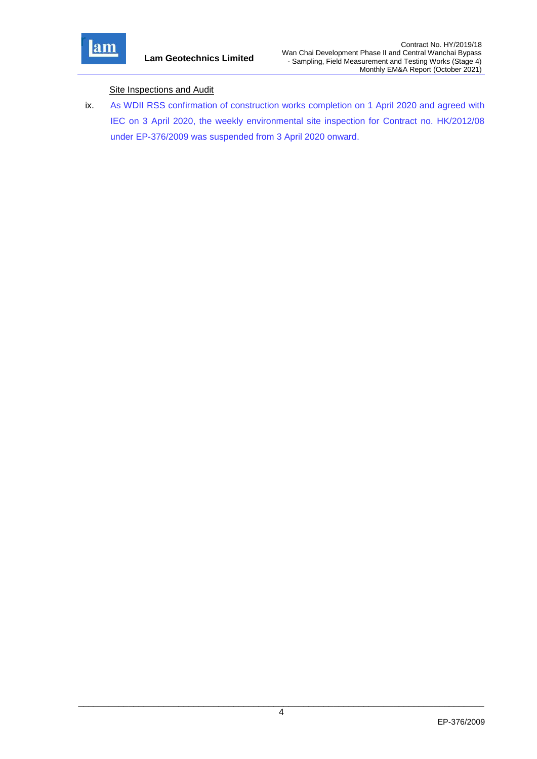

### **Site Inspections and Audit**

ix. As WDII RSS confirmation of construction works completion on 1 April 2020 and agreed with IEC on 3 April 2020, the weekly environmental site inspection for Contract no. HK/2012/08 under EP-376/2009 was suspended from 3 April 2020 onward.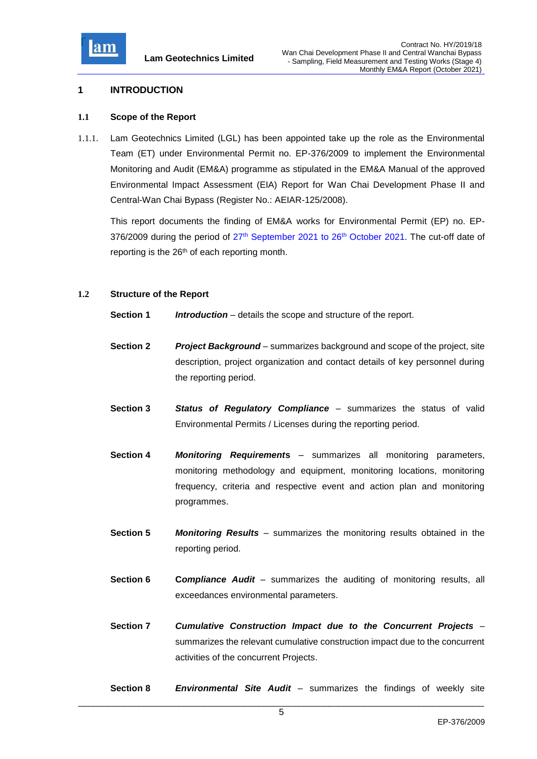

### <span id="page-5-0"></span>**1 INTRODUCTION**

#### <span id="page-5-1"></span>**1.1 Scope of the Report**

1.1.1. Lam Geotechnics Limited (LGL) has been appointed take up the role as the Environmental Team (ET) under Environmental Permit no. EP-376/2009 to implement the Environmental Monitoring and Audit (EM&A) programme as stipulated in the EM&A Manual of the approved Environmental Impact Assessment (EIA) Report for Wan Chai Development Phase II and Central-Wan Chai Bypass (Register No.: AEIAR-125/2008).

This report documents the finding of EM&A works for Environmental Permit (EP) no. EP-376/2009 during the period of 27<sup>th</sup> September 2021 to 26<sup>th</sup> October 2021. The cut-off date of reporting is the 26<sup>th</sup> of each reporting month.

### <span id="page-5-2"></span>**1.2 Structure of the Report**

- **Section 1** *Introduction* details the scope and structure of the report.
- **Section 2** *Project Background* summarizes background and scope of the project, site description, project organization and contact details of key personnel during the reporting period.
- **Section 3** *Status of Regulatory Compliance* summarizes the status of valid Environmental Permits / Licenses during the reporting period.
- **Section 4** *Monitoring Requirement***s** summarizes all monitoring parameters, monitoring methodology and equipment, monitoring locations, monitoring frequency, criteria and respective event and action plan and monitoring programmes.
- **Section 5** *Monitoring Results* summarizes the monitoring results obtained in the reporting period.
- **Section 6 C***ompliance Audit* summarizes the auditing of monitoring results, all exceedances environmental parameters.
- **Section 7** *Cumulative Construction Impact due to the Concurrent Projects*  summarizes the relevant cumulative construction impact due to the concurrent activities of the concurrent Projects.
- **Section 8** *Environmental Site Audit* summarizes the findings of weekly site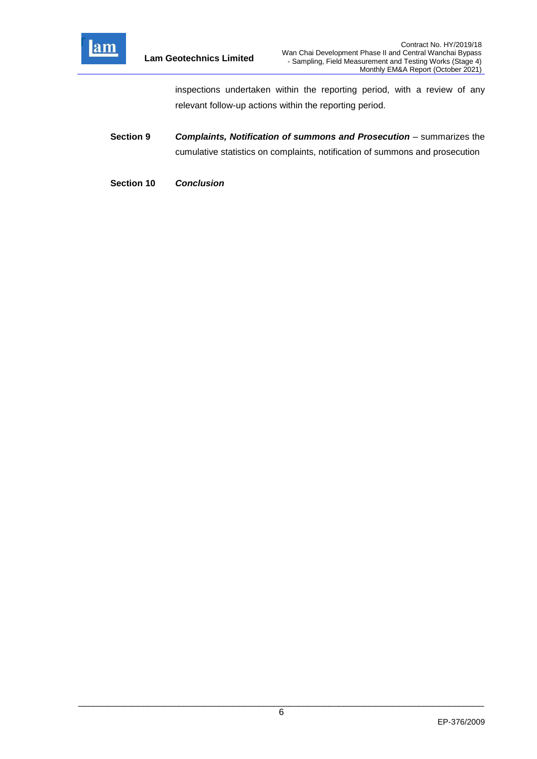

inspections undertaken within the reporting period, with a review of any relevant follow-up actions within the reporting period.

- **Section 9** *Complaints, Notification of summons and Prosecution summarizes the* cumulative statistics on complaints, notification of summons and prosecution
- **Section 10** *Conclusion*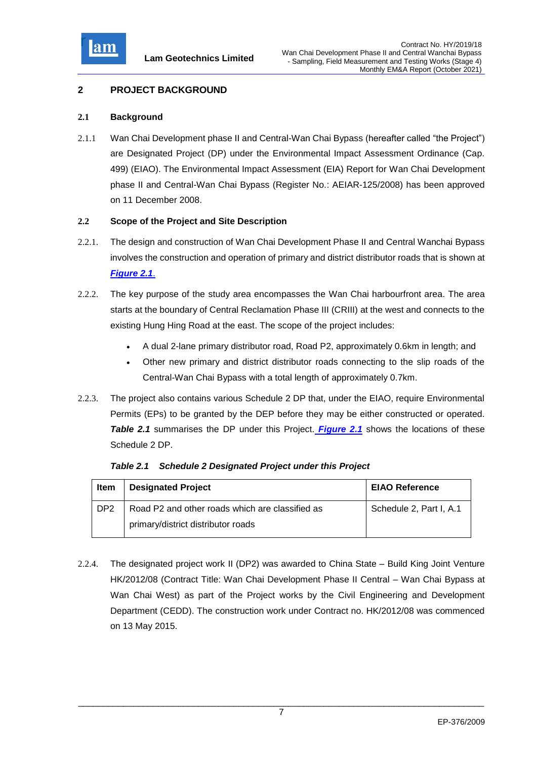

## <span id="page-7-0"></span>**2 PROJECT BACKGROUND**

### <span id="page-7-1"></span>**2.1 Background**

2.1.1 Wan Chai Development phase II and Central-Wan Chai Bypass (hereafter called "the Project") are Designated Project (DP) under the Environmental Impact Assessment Ordinance (Cap. 499) (EIAO). The Environmental Impact Assessment (EIA) Report for Wan Chai Development phase II and Central-Wan Chai Bypass (Register No.: AEIAR-125/2008) has been approved on 11 December 2008.

### <span id="page-7-2"></span>**2.2 Scope of the Project and Site Description**

- 2.2.1. The design and construction of Wan Chai Development Phase II and Central Wanchai Bypass involves the construction and operation of primary and district distributor roads that is shown at *[Figure 2.1](file:///C:/Users/porsia/Attachment/Fig2.1%20Project%20Layout.pdf)*.
- 2.2.2. The key purpose of the study area encompasses the Wan Chai harbourfront area. The area starts at the boundary of Central Reclamation Phase III (CRIII) at the west and connects to the existing Hung Hing Road at the east. The scope of the project includes:
	- A dual 2-lane primary distributor road, Road P2, approximately 0.6km in length; and
	- Other new primary and district distributor roads connecting to the slip roads of the Central-Wan Chai Bypass with a total length of approximately 0.7km.
- 2.2.3. The project also contains various Schedule 2 DP that, under the EIAO, require Environmental Permits (EPs) to be granted by the DEP before they may be either constructed or operated. **Table 2.1** summarises the DP under this Project. **[Figure 2.1](file:///C:/Users/porsia/Attachment/Fig2.1%20Project%20Layout.pdf)** shows the locations of these Schedule 2 DP.

| Item            | <b>Designated Project</b>                       | <b>EIAO Reference</b>   |
|-----------------|-------------------------------------------------|-------------------------|
| DP <sub>2</sub> | Road P2 and other roads which are classified as | Schedule 2, Part I, A.1 |
|                 | primary/district distributor roads              |                         |

<span id="page-7-3"></span>*Table 2.1 Schedule 2 Designated Project under this Project*

2.2.4. The designated project work II (DP2) was awarded to China State – Build King Joint Venture HK/2012/08 (Contract Title: Wan Chai Development Phase II Central – Wan Chai Bypass at Wan Chai West) as part of the Project works by the Civil Engineering and Development Department (CEDD). The construction work under Contract no. HK/2012/08 was commenced on 13 May 2015.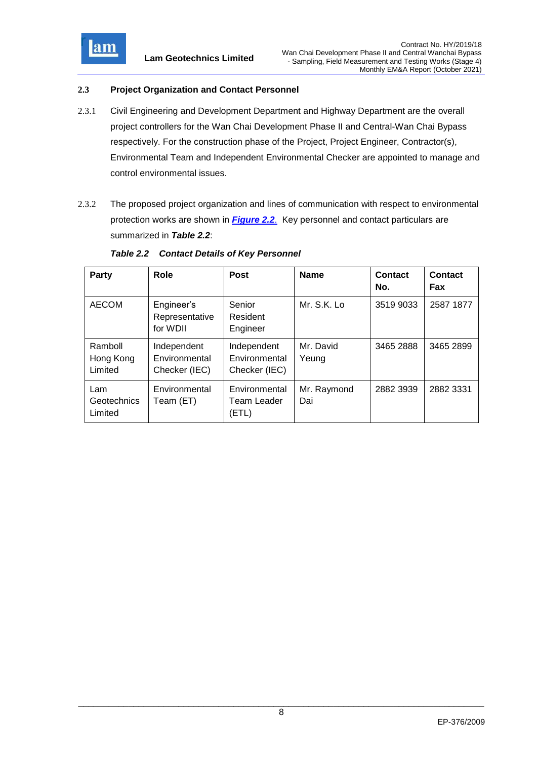

### <span id="page-8-0"></span>**2.3 Project Organization and Contact Personnel**

- 2.3.1 Civil Engineering and Development Department and Highway Department are the overall project controllers for the Wan Chai Development Phase II and Central-Wan Chai Bypass respectively. For the construction phase of the Project, Project Engineer, Contractor(s), Environmental Team and Independent Environmental Checker are appointed to manage and control environmental issues.
- 2.3.2 The proposed project organization and lines of communication with respect to environmental protection works are shown in *[Figure 2.2](file:///C:/Users/porsia/Attachment/Fig2.2%20Project%20Organization%20Chart.pdf)*. Key personnel and contact particulars are summarized in *Table 2.2*:

| Party                           | <b>Role</b>                                   | <b>Post</b>                                   | <b>Name</b>        | <b>Contact</b><br>No. | Contact<br>Fax |
|---------------------------------|-----------------------------------------------|-----------------------------------------------|--------------------|-----------------------|----------------|
| <b>AECOM</b>                    | Engineer's<br>Representative<br>for WDII      | Senior<br>Resident<br>Engineer                | Mr. S.K. Lo        | 3519 9033             | 2587 1877      |
| Ramboll<br>Hong Kong<br>Limited | Independent<br>Environmental<br>Checker (IEC) | Independent<br>Environmental<br>Checker (IEC) | Mr. David<br>Yeung | 3465 2888             | 3465 2899      |
| Lam<br>Geotechnics<br>Limited   | Environmental<br>Team (ET)                    | Environmental<br>Team Leader<br>(ETL)         | Mr. Raymond<br>Dai | 2882 3939             | 2882 3331      |

#### <span id="page-8-1"></span>*Table 2.2 Contact Details of Key Personnel*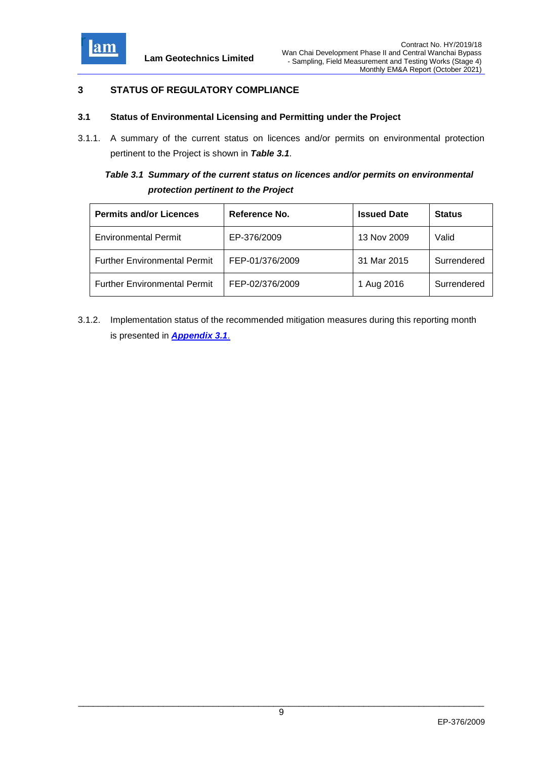

## <span id="page-9-0"></span>**3 STATUS OF REGULATORY COMPLIANCE**

#### <span id="page-9-1"></span>**3.1 Status of Environmental Licensing and Permitting under the Project**

3.1.1. A summary of the current status on licences and/or permits on environmental protection pertinent to the Project is shown in *Table 3.1*.

# <span id="page-9-2"></span>*Table 3.1 Summary of the current status on licences and/or permits on environmental protection pertinent to the Project*

| <b>Permits and/or Licences</b>      | Reference No.   | <b>Issued Date</b> | <b>Status</b> |
|-------------------------------------|-----------------|--------------------|---------------|
| <b>Environmental Permit</b>         | EP-376/2009     | 13 Nov 2009        | Valid         |
| <b>Further Environmental Permit</b> | FEP-01/376/2009 | 31 Mar 2015        | Surrendered   |
| <b>Further Environmental Permit</b> | FEP-02/376/2009 | 1 Aug 2016         | Surrendered   |

3.1.2. Implementation status of the recommended mitigation measures during this reporting month is presented in *[Appendix 3.1](file:///C:/Users/porsia/Attachment/App3.1_Environmental%20Mitigation%20Implementation%20Schedule.pdf)*.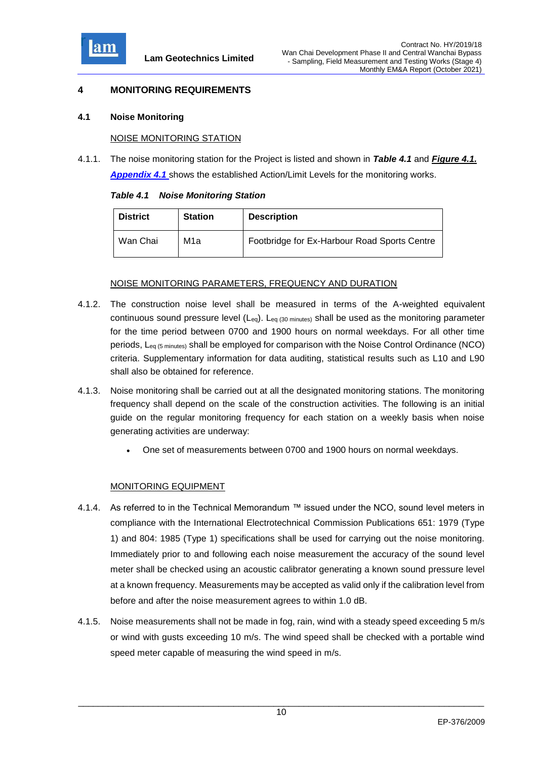

### <span id="page-10-0"></span>**4 MONITORING REQUIREMENTS**

#### <span id="page-10-1"></span>**4.1 Noise Monitoring**

#### NOISE MONITORING STATION

4.1.1. The noise monitoring station for the Project is listed and shown in *Table 4.1* and *[Figure 4.1.](file:///C:/Users/porsia/Attachment/Fig4.1%20Locations%20of%20Monitoring%20Stations.pdf) [Appendix 4.1](file:///C:/Users/porsia/Attachment/App4.1_Action%20and%20Limit%20Level.pdf)* shows the established Action/Limit Levels for the monitoring works.

<span id="page-10-2"></span>

|  | <b>Table 4.1 Noise Monitoring Station</b> |  |
|--|-------------------------------------------|--|
|  |                                           |  |

| <b>District</b> | <b>Station</b> | <b>Description</b>                           |
|-----------------|----------------|----------------------------------------------|
| Wan Chai        | M1a            | Footbridge for Ex-Harbour Road Sports Centre |

### NOISE MONITORING PARAMETERS, FREQUENCY AND DURATION

- 4.1.2. The construction noise level shall be measured in terms of the A-weighted equivalent continuous sound pressure level (Leq). Leq (30 minutes) shall be used as the monitoring parameter for the time period between 0700 and 1900 hours on normal weekdays. For all other time periods, Leq (5 minutes) shall be employed for comparison with the Noise Control Ordinance (NCO) criteria. Supplementary information for data auditing, statistical results such as L10 and L90 shall also be obtained for reference.
- 4.1.3. Noise monitoring shall be carried out at all the designated monitoring stations. The monitoring frequency shall depend on the scale of the construction activities. The following is an initial guide on the regular monitoring frequency for each station on a weekly basis when noise generating activities are underway:
	- One set of measurements between 0700 and 1900 hours on normal weekdays.

### MONITORING EQUIPMENT

- 4.1.4. As referred to in the Technical Memorandum ™ issued under the NCO, sound level meters in compliance with the International Electrotechnical Commission Publications 651: 1979 (Type 1) and 804: 1985 (Type 1) specifications shall be used for carrying out the noise monitoring. Immediately prior to and following each noise measurement the accuracy of the sound level meter shall be checked using an acoustic calibrator generating a known sound pressure level at a known frequency. Measurements may be accepted as valid only if the calibration level from before and after the noise measurement agrees to within 1.0 dB.
- 4.1.5. Noise measurements shall not be made in fog, rain, wind with a steady speed exceeding 5 m/s or wind with gusts exceeding 10 m/s. The wind speed shall be checked with a portable wind speed meter capable of measuring the wind speed in m/s.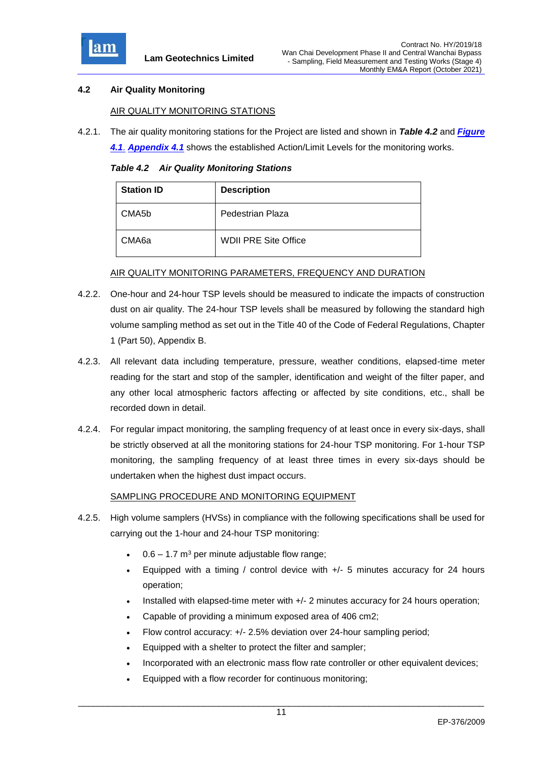

### <span id="page-11-0"></span>**4.2 Air Quality Monitoring**

### AIR QUALITY MONITORING STATIONS

4.2.1. The air quality monitoring stations for the Project are listed and shown in *Table 4.2* and *[Figure](file:///C:/Users/porsia/Attachment/Fig4.1%20Locations%20of%20Monitoring%20Stations.pdf)* 

*[4.1](file:///C:/Users/porsia/Attachment/Fig4.1%20Locations%20of%20Monitoring%20Stations.pdf)*. *[Appendix 4.1](file:///C:/Users/porsia/Attachment/App4.1_Action%20and%20Limit%20Level.pdf)* shows the established Action/Limit Levels for the monitoring works.

*Table 4.2 Air Quality Monitoring Stations*

<span id="page-11-1"></span>

| <b>Station ID</b>  | <b>Description</b>          |
|--------------------|-----------------------------|
| CMA <sub>5</sub> b | Pedestrian Plaza            |
| CMA <sub>6a</sub>  | <b>WDII PRE Site Office</b> |

#### AIR QUALITY MONITORING PARAMETERS, FREQUENCY AND DURATION

- 4.2.2. One-hour and 24-hour TSP levels should be measured to indicate the impacts of construction dust on air quality. The 24-hour TSP levels shall be measured by following the standard high volume sampling method as set out in the Title 40 of the Code of Federal Regulations, Chapter 1 (Part 50), Appendix B.
- 4.2.3. All relevant data including temperature, pressure, weather conditions, elapsed-time meter reading for the start and stop of the sampler, identification and weight of the filter paper, and any other local atmospheric factors affecting or affected by site conditions, etc., shall be recorded down in detail.
- 4.2.4. For regular impact monitoring, the sampling frequency of at least once in every six-days, shall be strictly observed at all the monitoring stations for 24-hour TSP monitoring. For 1-hour TSP monitoring, the sampling frequency of at least three times in every six-days should be undertaken when the highest dust impact occurs.

### SAMPLING PROCEDURE AND MONITORING EQUIPMENT

- 4.2.5. High volume samplers (HVSs) in compliance with the following specifications shall be used for carrying out the 1-hour and 24-hour TSP monitoring:
	- $0.6 1.7$  m<sup>3</sup> per minute adjustable flow range;
	- Equipped with a timing / control device with +/- 5 minutes accuracy for 24 hours operation;
	- Installed with elapsed-time meter with +/- 2 minutes accuracy for 24 hours operation;
	- Capable of providing a minimum exposed area of 406 cm2;
	- Flow control accuracy: +/- 2.5% deviation over 24-hour sampling period;
	- Equipped with a shelter to protect the filter and sampler;
	- Incorporated with an electronic mass flow rate controller or other equivalent devices;
	- Equipped with a flow recorder for continuous monitoring;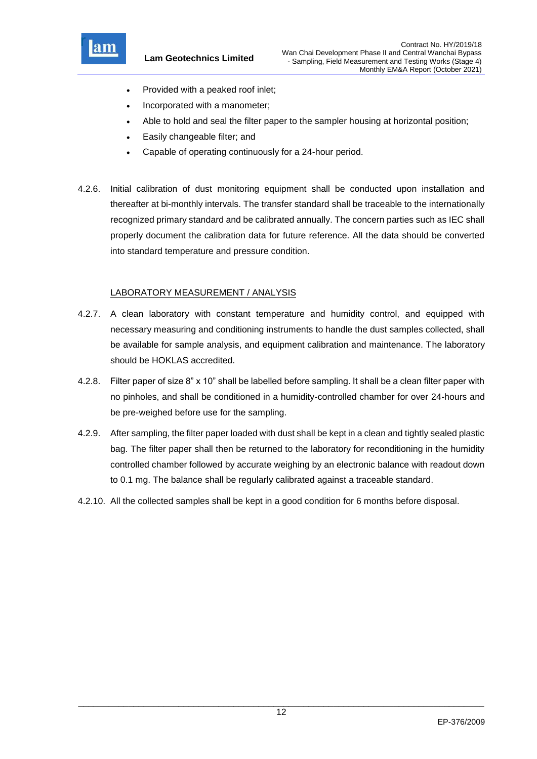

**Lam Geotechnics Limited**

- Provided with a peaked roof inlet;
- Incorporated with a manometer;
- Able to hold and seal the filter paper to the sampler housing at horizontal position;
- Easily changeable filter; and
- Capable of operating continuously for a 24-hour period.
- 4.2.6. Initial calibration of dust monitoring equipment shall be conducted upon installation and thereafter at bi-monthly intervals. The transfer standard shall be traceable to the internationally recognized primary standard and be calibrated annually. The concern parties such as IEC shall properly document the calibration data for future reference. All the data should be converted into standard temperature and pressure condition.

### LABORATORY MEASUREMENT / ANALYSIS

- 4.2.7. A clean laboratory with constant temperature and humidity control, and equipped with necessary measuring and conditioning instruments to handle the dust samples collected, shall be available for sample analysis, and equipment calibration and maintenance. The laboratory should be HOKLAS accredited.
- 4.2.8. Filter paper of size 8" x 10" shall be labelled before sampling. It shall be a clean filter paper with no pinholes, and shall be conditioned in a humidity-controlled chamber for over 24-hours and be pre-weighed before use for the sampling.
- 4.2.9. After sampling, the filter paper loaded with dust shall be kept in a clean and tightly sealed plastic bag. The filter paper shall then be returned to the laboratory for reconditioning in the humidity controlled chamber followed by accurate weighing by an electronic balance with readout down to 0.1 mg. The balance shall be regularly calibrated against a traceable standard.
- 4.2.10. All the collected samples shall be kept in a good condition for 6 months before disposal.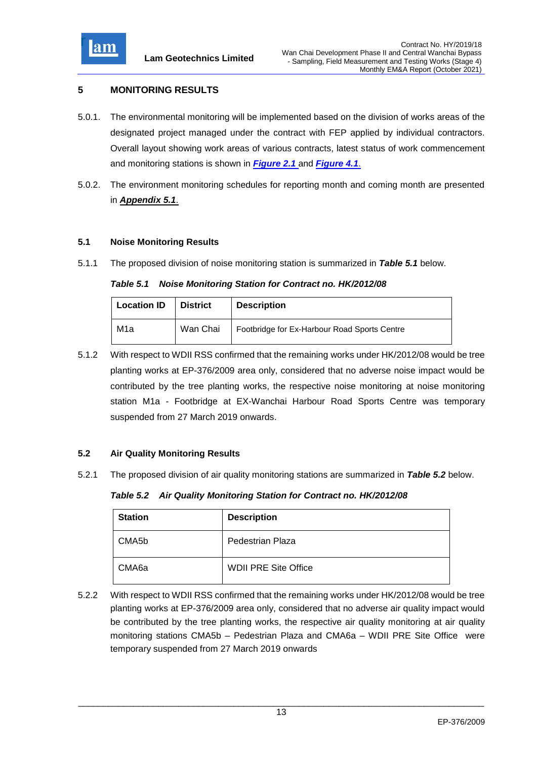

## <span id="page-13-0"></span>**5 MONITORING RESULTS**

- 5.0.1. The environmental monitoring will be implemented based on the division of works areas of the designated project managed under the contract with FEP applied by individual contractors. Overall layout showing work areas of various contracts, latest status of work commencement and monitoring stations is shown in *[Figure 2.1](file:///C:/Users/porsia/Attachment/Fig2.1%20Project%20Layout.pdf)* and *Figure 4.1*.
- 5.0.2. The environment monitoring schedules for reporting month and coming month are presented in *[Appendix 5.1](file://///100.100.100.13/team3dir/t3/1.0%20Project/2011/G1120/Submission/_EM&A%20Report_EP376/Mrtp2015.09/Attachment/App5.1_Monitoring%20Schedules.pdf)*.

### <span id="page-13-1"></span>**5.1 Noise Monitoring Results**

5.1.1 The proposed division of noise monitoring station is summarized in *Table 5.1* below.

### <span id="page-13-3"></span>*Table 5.1 Noise Monitoring Station for Contract no. HK/2012/08*

| <b>Location ID</b> | <b>District</b> | <b>Description</b>                           |
|--------------------|-----------------|----------------------------------------------|
| M1a                | Wan Chai        | Footbridge for Ex-Harbour Road Sports Centre |

5.1.2 With respect to WDII RSS confirmed that the remaining works under HK/2012/08 would be tree planting works at EP-376/2009 area only, considered that no adverse noise impact would be contributed by the tree planting works, the respective noise monitoring at noise monitoring station M1a - Footbridge at EX-Wanchai Harbour Road Sports Centre was temporary suspended from 27 March 2019 onwards.

### <span id="page-13-2"></span>**5.2 Air Quality Monitoring Results**

5.2.1 The proposed division of air quality monitoring stations are summarized in *Table 5.2* below.

*Table 5.2 Air Quality Monitoring Station for Contract no. HK/2012/08*

<span id="page-13-4"></span>

| <b>Station</b> | <b>Description</b>          |
|----------------|-----------------------------|
| CMA5b          | Pedestrian Plaza            |
| CMA6a          | <b>WDII PRE Site Office</b> |

5.2.2 With respect to WDII RSS confirmed that the remaining works under HK/2012/08 would be tree planting works at EP-376/2009 area only, considered that no adverse air quality impact would be contributed by the tree planting works, the respective air quality monitoring at air quality monitoring stations CMA5b – Pedestrian Plaza and CMA6a – WDII PRE Site Office were temporary suspended from 27 March 2019 onwards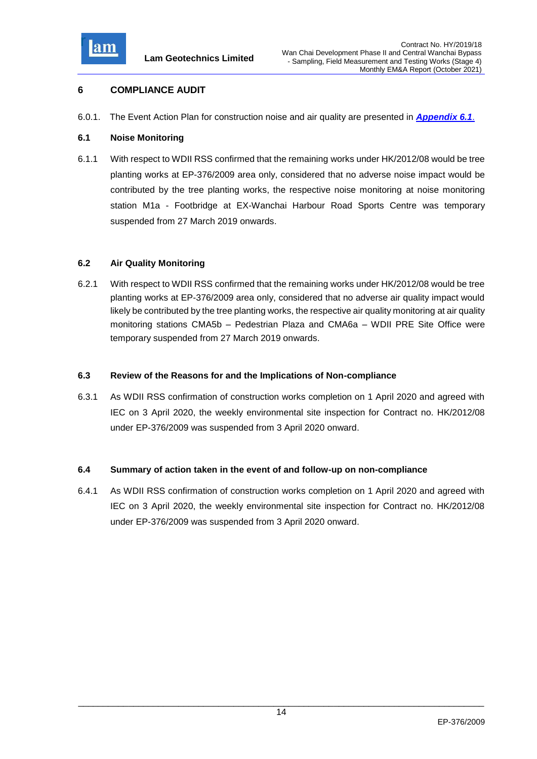

## <span id="page-14-0"></span>**6 COMPLIANCE AUDIT**

6.0.1. The Event Action Plan for construction noise and air quality are presented in *[Appendix 6.1](file:///C:/Users/porsia/Attachment/App6.1_Event%20and%20Action%20Plan.pdf)*.

### <span id="page-14-1"></span>**6.1 Noise Monitoring**

6.1.1 With respect to WDII RSS confirmed that the remaining works under HK/2012/08 would be tree planting works at EP-376/2009 area only, considered that no adverse noise impact would be contributed by the tree planting works, the respective noise monitoring at noise monitoring station M1a - Footbridge at EX-Wanchai Harbour Road Sports Centre was temporary suspended from 27 March 2019 onwards.

### <span id="page-14-2"></span>**6.2 Air Quality Monitoring**

6.2.1 With respect to WDII RSS confirmed that the remaining works under HK/2012/08 would be tree planting works at EP-376/2009 area only, considered that no adverse air quality impact would likely be contributed by the tree planting works, the respective air quality monitoring at air quality monitoring stations CMA5b – Pedestrian Plaza and CMA6a – WDII PRE Site Office were temporary suspended from 27 March 2019 onwards.

#### <span id="page-14-3"></span>**6.3 Review of the Reasons for and the Implications of Non-compliance**

6.3.1 As WDII RSS confirmation of construction works completion on 1 April 2020 and agreed with IEC on 3 April 2020, the weekly environmental site inspection for Contract no. HK/2012/08 under EP-376/2009 was suspended from 3 April 2020 onward.

### <span id="page-14-4"></span>**6.4 Summary of action taken in the event of and follow-up on non-compliance**

6.4.1 As WDII RSS confirmation of construction works completion on 1 April 2020 and agreed with IEC on 3 April 2020, the weekly environmental site inspection for Contract no. HK/2012/08 under EP-376/2009 was suspended from 3 April 2020 onward.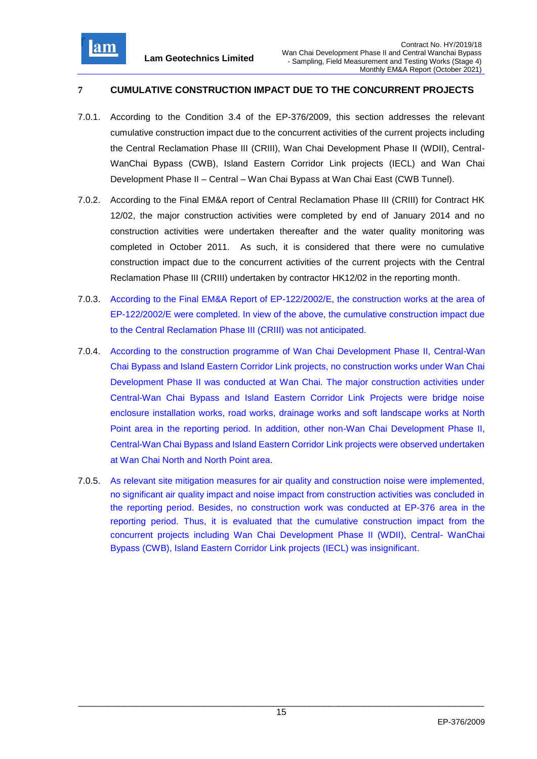

## <span id="page-15-0"></span>**7 CUMULATIVE CONSTRUCTION IMPACT DUE TO THE CONCURRENT PROJECTS**

- 7.0.1. According to the Condition 3.4 of the EP-376/2009, this section addresses the relevant cumulative construction impact due to the concurrent activities of the current projects including the Central Reclamation Phase III (CRIII), Wan Chai Development Phase II (WDII), Central-WanChai Bypass (CWB), Island Eastern Corridor Link projects (IECL) and Wan Chai Development Phase II – Central – Wan Chai Bypass at Wan Chai East (CWB Tunnel).
- 7.0.2. According to the Final EM&A report of Central Reclamation Phase III (CRIII) for Contract HK 12/02, the major construction activities were completed by end of January 2014 and no construction activities were undertaken thereafter and the water quality monitoring was completed in October 2011. As such, it is considered that there were no cumulative construction impact due to the concurrent activities of the current projects with the Central Reclamation Phase III (CRIII) undertaken by contractor HK12/02 in the reporting month.
- 7.0.3. According to the Final EM&A Report of EP-122/2002/E, the construction works at the area of EP-122/2002/E were completed. In view of the above, the cumulative construction impact due to the Central Reclamation Phase III (CRIII) was not anticipated.
- 7.0.4. According to the construction programme of Wan Chai Development Phase II, Central-Wan Chai Bypass and Island Eastern Corridor Link projects, no construction works under Wan Chai Development Phase II was conducted at Wan Chai. The major construction activities under Central-Wan Chai Bypass and Island Eastern Corridor Link Projects were bridge noise enclosure installation works, road works, drainage works and soft landscape works at North Point area in the reporting period. In addition, other non-Wan Chai Development Phase II, Central-Wan Chai Bypass and Island Eastern Corridor Link projects were observed undertaken at Wan Chai North and North Point area.
- 7.0.5. As relevant site mitigation measures for air quality and construction noise were implemented, no significant air quality impact and noise impact from construction activities was concluded in the reporting period. Besides, no construction work was conducted at EP-376 area in the reporting period. Thus, it is evaluated that the cumulative construction impact from the concurrent projects including Wan Chai Development Phase II (WDII), Central- WanChai Bypass (CWB), Island Eastern Corridor Link projects (IECL) was insignificant.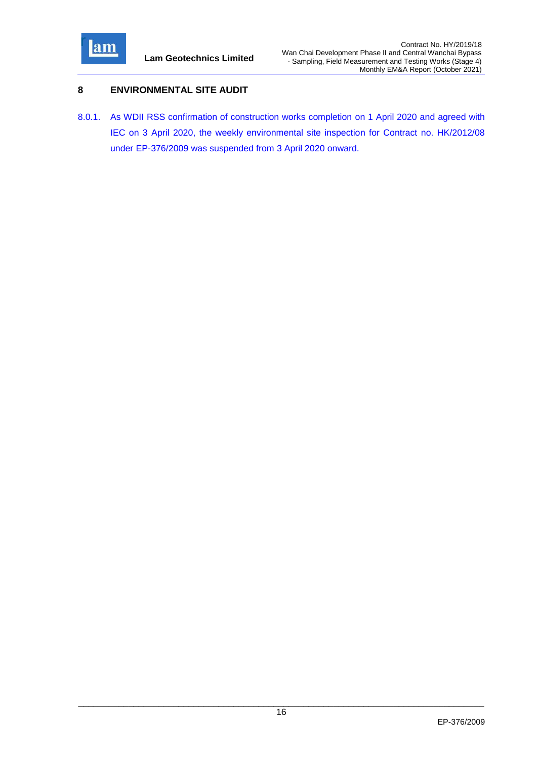

## <span id="page-16-0"></span>**8 ENVIRONMENTAL SITE AUDIT**

8.0.1. As WDII RSS confirmation of construction works completion on 1 April 2020 and agreed with IEC on 3 April 2020, the weekly environmental site inspection for Contract no. HK/2012/08 under EP-376/2009 was suspended from 3 April 2020 onward.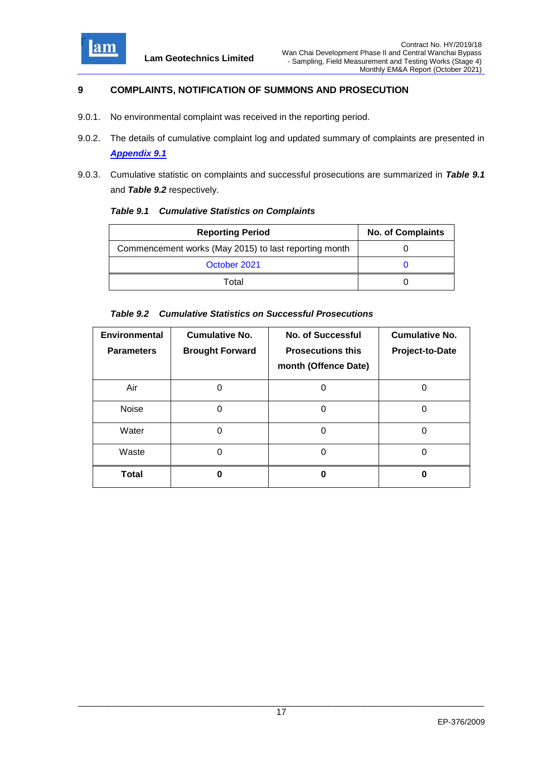

## <span id="page-17-0"></span>**9 COMPLAINTS, NOTIFICATION OF SUMMONS AND PROSECUTION**

- 9.0.1. No environmental complaint was received in the reporting period.
- 9.0.2. The details of cumulative complaint log and updated summary of complaints are presented in *[Appendix 9.1](file:///C:/Users/porsia/Attachment/App9.1_Complaint%20Log.pdf)*
- 9.0.3. Cumulative statistic on complaints and successful prosecutions are summarized in *Table 9.1* and *Table 9.2* respectively.

<span id="page-17-1"></span>

| <b>Table 9.1 Cumulative Statistics on Complaints</b> |  |  |
|------------------------------------------------------|--|--|
|                                                      |  |  |

| <b>Reporting Period</b>                               | <b>No. of Complaints</b> |
|-------------------------------------------------------|--------------------------|
| Commencement works (May 2015) to last reporting month |                          |
| October 2021                                          |                          |
| Total                                                 |                          |

### <span id="page-17-2"></span>*Table 9.2 Cumulative Statistics on Successful Prosecutions*

| Environmental<br><b>Parameters</b> | <b>Cumulative No.</b><br><b>Brought Forward</b> | <b>No. of Successful</b><br><b>Prosecutions this</b><br>month (Offence Date) | <b>Cumulative No.</b><br>Project-to-Date |
|------------------------------------|-------------------------------------------------|------------------------------------------------------------------------------|------------------------------------------|
| Air                                |                                                 |                                                                              |                                          |
| Noise                              | 0                                               | O                                                                            |                                          |
| Water                              | 0                                               |                                                                              |                                          |
| Waste                              | ი                                               | 0                                                                            |                                          |
| Total                              |                                                 |                                                                              |                                          |